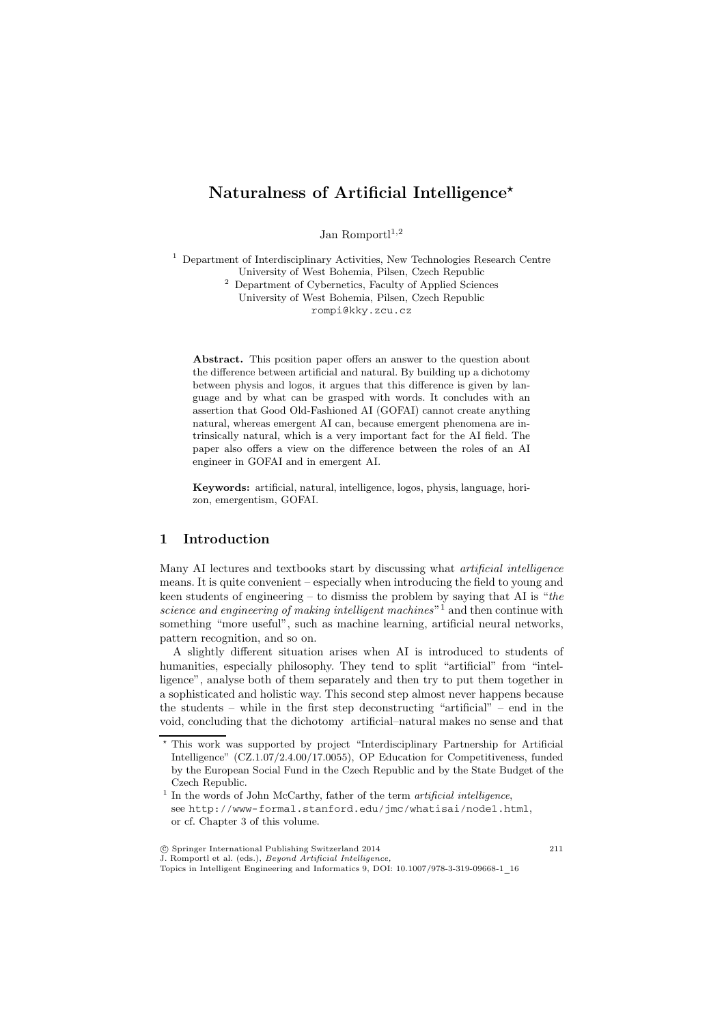# Naturalness of Artificial Intelligence<sup>\*</sup>

Jan Romport $l^{1,2}$ 

<sup>1</sup> Department of Interdisciplinary Activities, New Technologies Research Centre University of West Bohemia, Pilsen, Czech Republic

<sup>2</sup> Department of Cybernetics, Faculty of Applied Sciences University of West Bohemia, Pilsen, Czech Republic

rompi@kky.zcu.cz

Abstract. This position paper offers an answer to the question about the difference between artificial and natural. By building up a dichotomy between physis and logos, it argues that this difference is given by language and by what can be grasped with words. It concludes with an assertion that Good Old-Fashioned AI (GOFAI) cannot create anything natural, whereas emergent AI can, because emergent phenomena are intrinsically natural, which is a very important fact for the AI field. The paper also offers a view on the difference between the roles of an AI engineer in GOFAI and in emergent AI.

Keywords: artificial, natural, intelligence, logos, physis, language, horizon, emergentism, GOFAI.

## 1 Introduction

Many AI lectures and textbooks start by discussing what artificial intelligence means. It is quite convenient – especially when introducing the field to young and keen students of engineering – to dismiss the problem by saying that AI is "the science and engineering of making intelligent machines"<sup>1</sup> and then continue with something "more useful", such as machine learning, artificial neural networks, pattern recognition, and so on.

A slightly different situation arises when AI is introduced to students of humanities, especially philosophy. They tend to split "artificial" from "intelligence", analyse both of them separately and then try to put them together in a sophisticated and holistic way. This second step almost never happens because the students – while in the first step deconstructing "artificial" – end in the void, concluding that the dichotomy artificial–natural makes no sense and that

<sup>⋆</sup> This work was supported by project "Interdisciplinary Partnership for Artificial Intelligence" (CZ.1.07/2.4.00/17.0055), OP Education for Competitiveness, funded by the European Social Fund in the Czech Republic and by the State Budget of the Czech Republic.

 $1$  In the words of John McCarthy, father of the term *artificial intelligence*, see http://www-formal.stanford.edu/jmc/whatisai/node1.html, or cf. Chapter 3 of this volume.

<sup>⃝</sup>c Springer International Publishing Switzerland 2014 211

J. Romportl et al. (eds.), Beyond Artificial Intelligence,

Topics in Intelligent Engineering and Informatics 9, DOI: 10.1007/978-3-319-09668-1\_16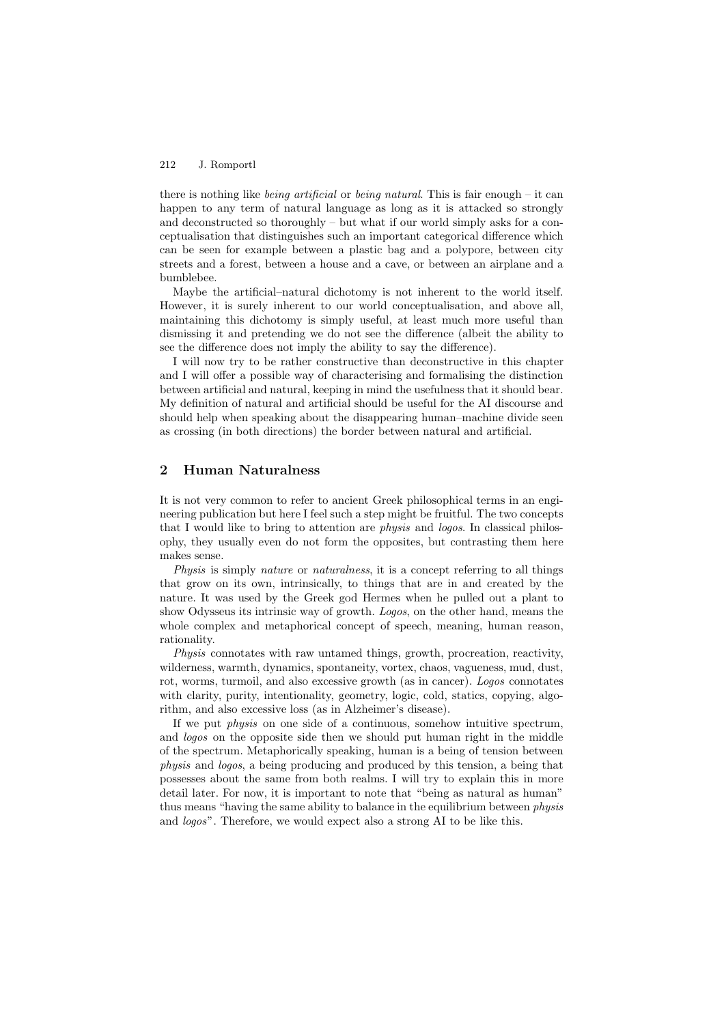#### 212 J. Romportl

there is nothing like *being artificial* or *being natural*. This is fair enough – it can happen to any term of natural language as long as it is attacked so strongly and deconstructed so thoroughly – but what if our world simply asks for a conceptualisation that distinguishes such an important categorical difference which can be seen for example between a plastic bag and a polypore, between city streets and a forest, between a house and a cave, or between an airplane and a bumblebee.

Maybe the artificial–natural dichotomy is not inherent to the world itself. However, it is surely inherent to our world conceptualisation, and above all, maintaining this dichotomy is simply useful, at least much more useful than dismissing it and pretending we do not see the difference (albeit the ability to see the difference does not imply the ability to say the difference).

I will now try to be rather constructive than deconstructive in this chapter and I will offer a possible way of characterising and formalising the distinction between artificial and natural, keeping in mind the usefulness that it should bear. My definition of natural and artificial should be useful for the AI discourse and should help when speaking about the disappearing human–machine divide seen as crossing (in both directions) the border between natural and artificial.

### 2 Human Naturalness

It is not very common to refer to ancient Greek philosophical terms in an engineering publication but here I feel such a step might be fruitful. The two concepts that I would like to bring to attention are physis and logos. In classical philosophy, they usually even do not form the opposites, but contrasting them here makes sense.

Physis is simply nature or naturalness, it is a concept referring to all things that grow on its own, intrinsically, to things that are in and created by the nature. It was used by the Greek god Hermes when he pulled out a plant to show Odysseus its intrinsic way of growth. Logos, on the other hand, means the whole complex and metaphorical concept of speech, meaning, human reason, rationality.

Physis connotates with raw untamed things, growth, procreation, reactivity, wilderness, warmth, dynamics, spontaneity, vortex, chaos, vagueness, mud, dust, rot, worms, turmoil, and also excessive growth (as in cancer). Logos connotates with clarity, purity, intentionality, geometry, logic, cold, statics, copying, algorithm, and also excessive loss (as in Alzheimer's disease).

If we put physis on one side of a continuous, somehow intuitive spectrum, and *logos* on the opposite side then we should put human right in the middle of the spectrum. Metaphorically speaking, human is a being of tension between physis and logos, a being producing and produced by this tension, a being that possesses about the same from both realms. I will try to explain this in more detail later. For now, it is important to note that "being as natural as human" thus means "having the same ability to balance in the equilibrium between physis and logos". Therefore, we would expect also a strong AI to be like this.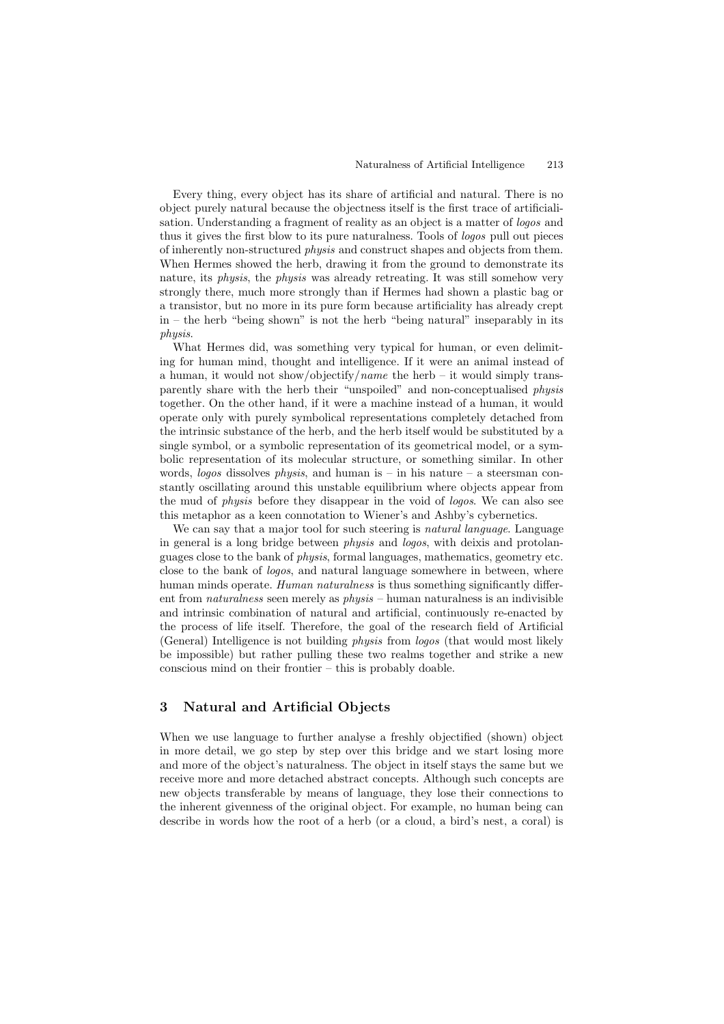Every thing, every object has its share of artificial and natural. There is no object purely natural because the objectness itself is the first trace of artificialisation. Understanding a fragment of reality as an object is a matter of logos and thus it gives the first blow to its pure naturalness. Tools of logos pull out pieces of inherently non-structured physis and construct shapes and objects from them. When Hermes showed the herb, drawing it from the ground to demonstrate its nature, its physis, the physis was already retreating. It was still somehow very strongly there, much more strongly than if Hermes had shown a plastic bag or a transistor, but no more in its pure form because artificiality has already crept in – the herb "being shown" is not the herb "being natural" inseparably in its physis.

What Hermes did, was something very typical for human, or even delimiting for human mind, thought and intelligence. If it were an animal instead of a human, it would not show/objectify/*name* the herb – it would simply transparently share with the herb their "unspoiled" and non-conceptualised physis together. On the other hand, if it were a machine instead of a human, it would operate only with purely symbolical representations completely detached from the intrinsic substance of the herb, and the herb itself would be substituted by a single symbol, or a symbolic representation of its geometrical model, or a symbolic representation of its molecular structure, or something similar. In other words, *logos* dissolves *physis*, and human is – in his nature – a steersman constantly oscillating around this unstable equilibrium where objects appear from the mud of physis before they disappear in the void of logos. We can also see this metaphor as a keen connotation to Wiener's and Ashby's cybernetics.

We can say that a major tool for such steering is *natural language*. Language in general is a long bridge between physis and logos, with deixis and protolanguages close to the bank of physis, formal languages, mathematics, geometry etc. close to the bank of logos, and natural language somewhere in between, where human minds operate. Human naturalness is thus something significantly different from naturalness seen merely as physis – human naturalness is an indivisible and intrinsic combination of natural and artificial, continuously re-enacted by the process of life itself. Therefore, the goal of the research field of Artificial (General) Intelligence is not building physis from logos (that would most likely be impossible) but rather pulling these two realms together and strike a new conscious mind on their frontier – this is probably doable.

## 3 Natural and Artificial Objects

When we use language to further analyse a freshly objectified (shown) object in more detail, we go step by step over this bridge and we start losing more and more of the object's naturalness. The object in itself stays the same but we receive more and more detached abstract concepts. Although such concepts are new objects transferable by means of language, they lose their connections to the inherent givenness of the original object. For example, no human being can describe in words how the root of a herb (or a cloud, a bird's nest, a coral) is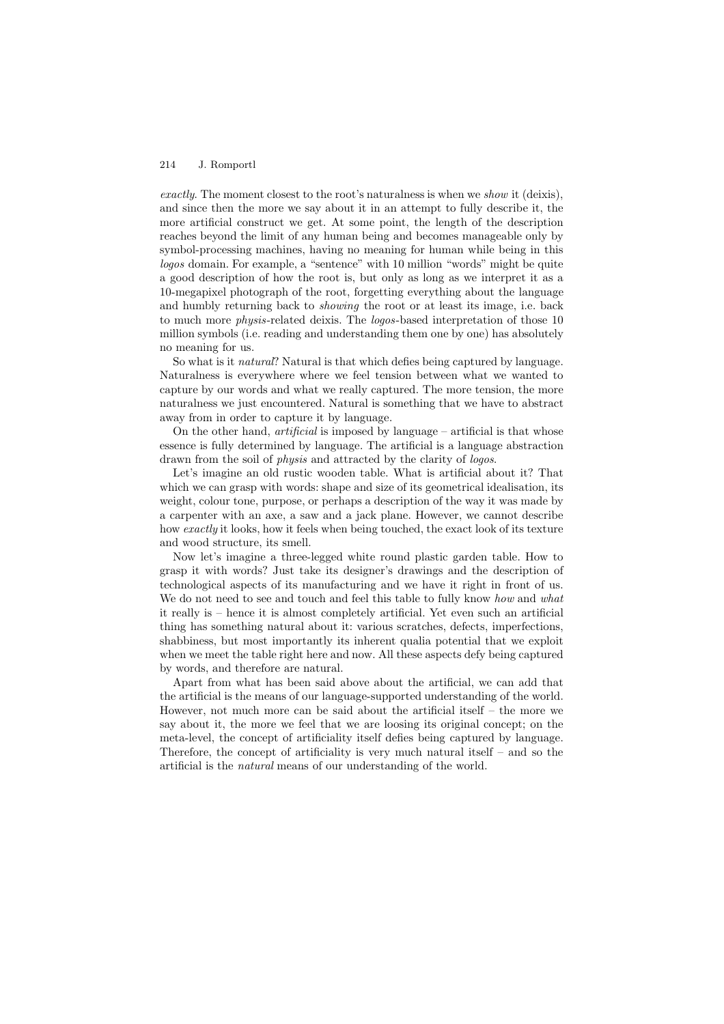#### 214 J. Romportl

exactly. The moment closest to the root's naturalness is when we show it (deixis), and since then the more we say about it in an attempt to fully describe it, the more artificial construct we get. At some point, the length of the description reaches beyond the limit of any human being and becomes manageable only by symbol-processing machines, having no meaning for human while being in this logos domain. For example, a "sentence" with 10 million "words" might be quite a good description of how the root is, but only as long as we interpret it as a 10-megapixel photograph of the root, forgetting everything about the language and humbly returning back to showing the root or at least its image, i.e. back to much more physis-related deixis. The logos-based interpretation of those 10 million symbols (i.e. reading and understanding them one by one) has absolutely no meaning for us.

So what is it natural? Natural is that which defies being captured by language. Naturalness is everywhere where we feel tension between what we wanted to capture by our words and what we really captured. The more tension, the more naturalness we just encountered. Natural is something that we have to abstract away from in order to capture it by language.

On the other hand, artificial is imposed by language – artificial is that whose essence is fully determined by language. The artificial is a language abstraction drawn from the soil of *physis* and attracted by the clarity of *logos*.

Let's imagine an old rustic wooden table. What is artificial about it? That which we can grasp with words: shape and size of its geometrical idealisation, its weight, colour tone, purpose, or perhaps a description of the way it was made by a carpenter with an axe, a saw and a jack plane. However, we cannot describe how exactly it looks, how it feels when being touched, the exact look of its texture and wood structure, its smell.

Now let's imagine a three-legged white round plastic garden table. How to grasp it with words? Just take its designer's drawings and the description of technological aspects of its manufacturing and we have it right in front of us. We do not need to see and touch and feel this table to fully know how and what it really is – hence it is almost completely artificial. Yet even such an artificial thing has something natural about it: various scratches, defects, imperfections, shabbiness, but most importantly its inherent qualia potential that we exploit when we meet the table right here and now. All these aspects defy being captured by words, and therefore are natural.

Apart from what has been said above about the artificial, we can add that the artificial is the means of our language-supported understanding of the world. However, not much more can be said about the artificial itself – the more we say about it, the more we feel that we are loosing its original concept; on the meta-level, the concept of artificiality itself defies being captured by language. Therefore, the concept of artificiality is very much natural itself – and so the artificial is the natural means of our understanding of the world.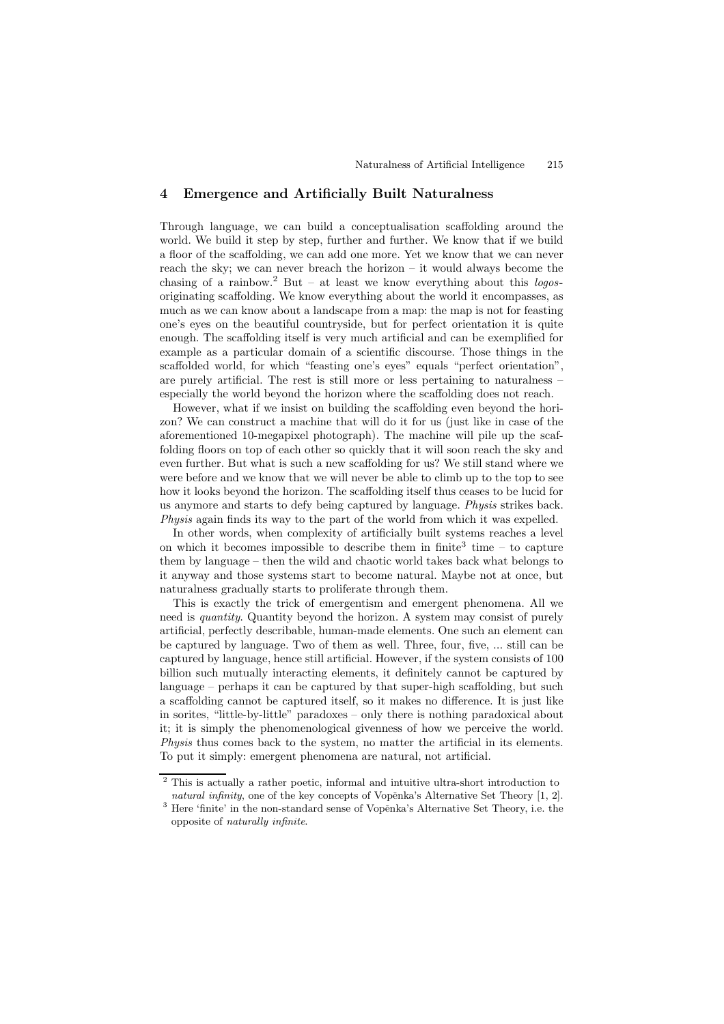#### 4 Emergence and Artificially Built Naturalness

Through language, we can build a conceptualisation scaffolding around the world. We build it step by step, further and further. We know that if we build a floor of the scaffolding, we can add one more. Yet we know that we can never reach the sky; we can never breach the horizon – it would always become the chasing of a rainbow.<sup>2</sup> But – at least we know everything about this logosoriginating scaffolding. We know everything about the world it encompasses, as much as we can know about a landscape from a map: the map is not for feasting one's eyes on the beautiful countryside, but for perfect orientation it is quite enough. The scaffolding itself is very much artificial and can be exemplified for example as a particular domain of a scientific discourse. Those things in the scaffolded world, for which "feasting one's eyes" equals "perfect orientation", are purely artificial. The rest is still more or less pertaining to naturalness – especially the world beyond the horizon where the scaffolding does not reach.

However, what if we insist on building the scaffolding even beyond the horizon? We can construct a machine that will do it for us (just like in case of the aforementioned 10-megapixel photograph). The machine will pile up the scaffolding floors on top of each other so quickly that it will soon reach the sky and even further. But what is such a new scaffolding for us? We still stand where we were before and we know that we will never be able to climb up to the top to see how it looks beyond the horizon. The scaffolding itself thus ceases to be lucid for us anymore and starts to defy being captured by language. Physis strikes back. Physis again finds its way to the part of the world from which it was expelled.

In other words, when complexity of artificially built systems reaches a level on which it becomes impossible to describe them in finite<sup>3</sup> time – to capture them by language – then the wild and chaotic world takes back what belongs to it anyway and those systems start to become natural. Maybe not at once, but naturalness gradually starts to proliferate through them.

This is exactly the trick of emergentism and emergent phenomena. All we need is quantity. Quantity beyond the horizon. A system may consist of purely artificial, perfectly describable, human-made elements. One such an element can be captured by language. Two of them as well. Three, four, five, ... still can be captured by language, hence still artificial. However, if the system consists of 100 billion such mutually interacting elements, it definitely cannot be captured by language – perhaps it can be captured by that super-high scaffolding, but such a scaffolding cannot be captured itself, so it makes no difference. It is just like in sorites, "little-by-little" paradoxes – only there is nothing paradoxical about it; it is simply the phenomenological givenness of how we perceive the world. Physis thus comes back to the system, no matter the artificial in its elements. To put it simply: emergent phenomena are natural, not artificial.

<sup>2</sup> This is actually a rather poetic, informal and intuitive ultra-short introduction to natural infinity, one of the key concepts of Vopěnka's Alternative Set Theory [1, 2].

 $3$  Here 'finite' in the non-standard sense of Vopěnka's Alternative Set Theory, i.e. the opposite of naturally infinite.